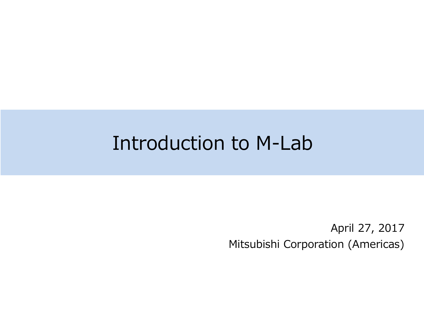## Introduction to M-Lab

April 27, 2017 Mitsubishi Corporation (Americas)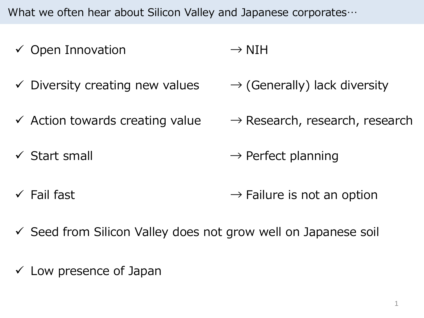What we often hear about Silicon Valley and Japanese corporates…

- $\checkmark$  Open Innovation
- $\checkmark$  Diversity creating new values
- $\checkmark$  Action towards creating value  $\to$  Research, research, research
- $\checkmark$  Start small
- $\rightarrow$  NIH
- $\rightarrow$  (Generally) lack diversity
- 
- $\rightarrow$  Perfect planning
- $\checkmark$  Fail fast  $\rightarrow$  Failure is not an option
- $\checkmark$  Seed from Silicon Valley does not grow well on Japanese soil
- $\checkmark$  Low presence of Japan